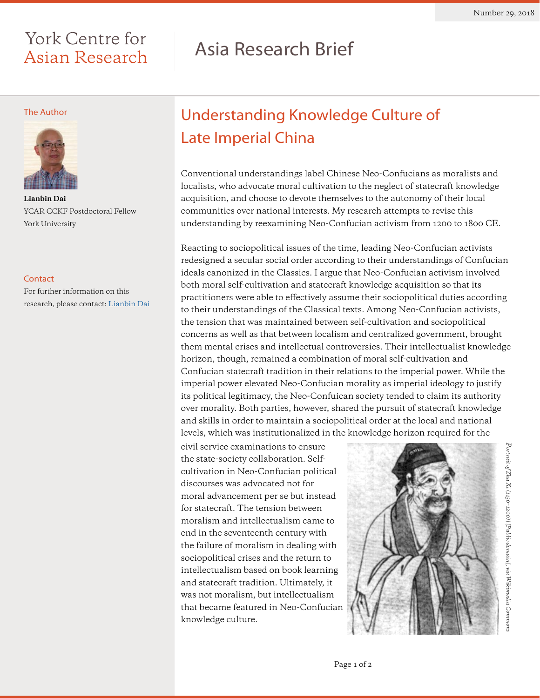### York Centre for Asian Research

# Asia Research Brief

### The Author



**Lianbin Dai**  YCAR CCKF Postdoctoral Fellow York University

### **Contact**

For further information on this research, please contact: [Lianbin Dai](mailto:lianbind%40gmail.com?subject=)

## Understanding Knowledge Culture of Late Imperial China

Conventional understandings label Chinese Neo-Confucians as moralists and localists, who advocate moral cultivation to the neglect of statecraft knowledge acquisition, and choose to devote themselves to the autonomy of their local communities over national interests. My research attempts to revise this understanding by reexamining Neo-Confucian activism from 1200 to 1800 CE.

Reacting to sociopolitical issues of the time, leading Neo-Confucian activists redesigned a secular social order according to their understandings of Confucian ideals canonized in the Classics. I argue that Neo-Confucian activism involved both moral self-cultivation and statecraft knowledge acquisition so that its practitioners were able to effectively assume their sociopolitical duties according to their understandings of the Classical texts. Among Neo-Confucian activists, the tension that was maintained between self-cultivation and sociopolitical concerns as well as that between localism and centralized government, brought them mental crises and intellectual controversies. Their intellectualist knowledge horizon, though, remained a combination of moral self-cultivation and Confucian statecraft tradition in their relations to the imperial power. While the imperial power elevated Neo-Confucian morality as imperial ideology to justify its political legitimacy, the Neo-Confuican society tended to claim its authority over morality. Both parties, however, shared the pursuit of statecraft knowledge and skills in order to maintain a sociopolitical order at the local and national levels, which was institutionalized in the knowledge horizon required for the

civil service examinations to ensure the state-society collaboration. Selfcultivation in Neo-Confucian political discourses was advocated not for moral advancement per se but instead for statecraft. The tension between moralism and intellectualism came to end in the seventeenth century with the failure of moralism in dealing with sociopolitical crises and the return to intellectualism based on book learning and statecraft tradition. Ultimately, it was not moralism, but intellectualism that became featured in Neo-Confucian knowledge culture.